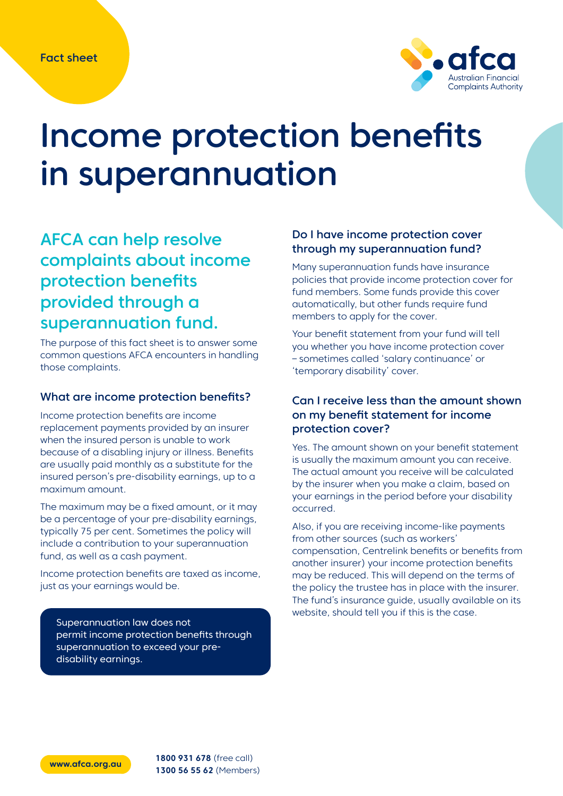

# Income protection benefits in superannuation

# AFCA can help resolve complaints about income protection benefits provided through a superannuation fund.

The purpose of this fact sheet is to answer some common questions AFCA encounters in handling those complaints.

## What are income protection benefits?

Income protection benefits are income replacement payments provided by an insurer when the insured person is unable to work because of a disabling injury or illness. Benefits are usually paid monthly as a substitute for the insured person's pre-disability earnings, up to a maximum amount.

The maximum may be a fixed amount, or it may be a percentage of your pre-disability earnings, typically 75 per cent. Sometimes the policy will include a contribution to your superannuation fund, as well as a cash payment.

Income protection benefits are taxed as income, just as your earnings would be.

Superannuation law does not permit income protection benefits through superannuation to exceed your predisability earnings.

# Do I have income protection cover through my superannuation fund?

Many superannuation funds have insurance policies that provide income protection cover for fund members. Some funds provide this cover automatically, but other funds require fund members to apply for the cover.

Your benefit statement from your fund will tell you whether you have income protection cover – sometimes called 'salary continuance' or 'temporary disability' cover.

# Can I receive less than the amount shown on my benefit statement for income protection cover?

Yes. The amount shown on your benefit statement is usually the maximum amount you can receive. The actual amount you receive will be calculated by the insurer when you make a claim, based on your earnings in the period before your disability occurred.

Also, if you are receiving income-like payments from other sources (such as workers' compensation, Centrelink benefits or benefits from another insurer) your income protection benefits may be reduced. This will depend on the terms of the policy the trustee has in place with the insurer. The fund's insurance guide, usually available on its website, should tell you if this is the case.

**[www.afca.org.au](http://www.afca.org.au) 1800 931 678** (free call) **1300 56 55 62** (Members)